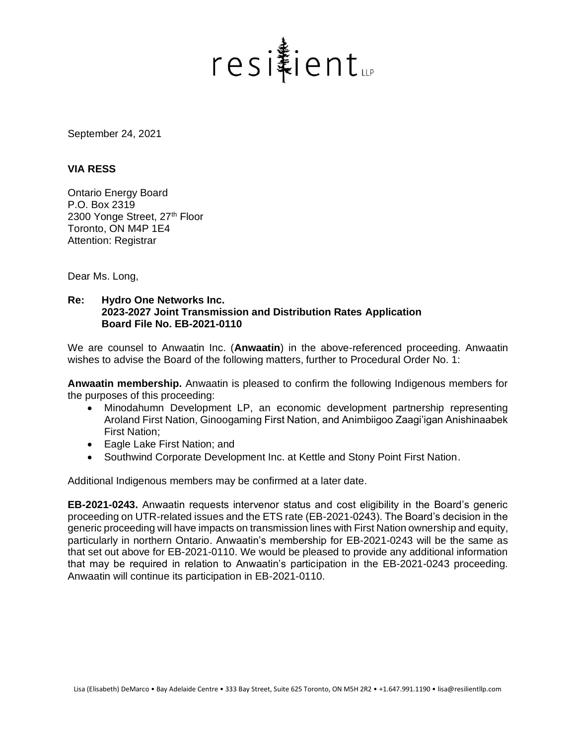

September 24, 2021

## **VIA RESS**

Ontario Energy Board P.O. Box 2319 2300 Yonge Street, 27<sup>th</sup> Floor Toronto, ON M4P 1E4 Attention: Registrar

Dear Ms. Long,

## **Re: Hydro One Networks Inc. 2023-2027 Joint Transmission and Distribution Rates Application Board File No. EB-2021-0110**

We are counsel to Anwaatin Inc. (**Anwaatin**) in the above-referenced proceeding. Anwaatin wishes to advise the Board of the following matters, further to Procedural Order No. 1:

**Anwaatin membership.** Anwaatin is pleased to confirm the following Indigenous members for the purposes of this proceeding:

- Minodahumn Development LP, an economic development partnership representing Aroland First Nation, Ginoogaming First Nation, and Animbiigoo Zaagi'igan Anishinaabek First Nation;
- Eagle Lake First Nation; and
- Southwind Corporate Development Inc. at Kettle and Stony Point First Nation.

Additional Indigenous members may be confirmed at a later date.

**EB-2021-0243.** Anwaatin requests intervenor status and cost eligibility in the Board's generic proceeding on UTR-related issues and the ETS rate (EB-2021-0243). The Board's decision in the generic proceeding will have impacts on transmission lines with First Nation ownership and equity, particularly in northern Ontario. Anwaatin's membership for EB-2021-0243 will be the same as that set out above for EB-2021-0110. We would be pleased to provide any additional information that may be required in relation to Anwaatin's participation in the EB-2021-0243 proceeding. Anwaatin will continue its participation in EB-2021-0110.